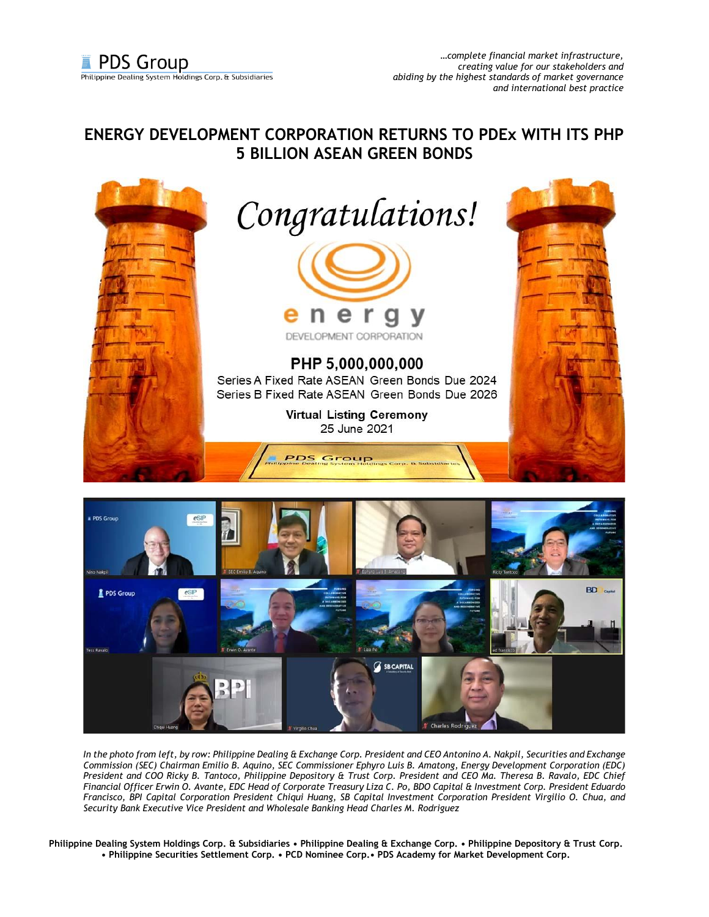## **ENERGY DEVELOPMENT CORPORATION RETURNS TO PDEx WITH ITS PHP 5 BILLION ASEAN GREEN BONDS**





*In the photo from left, by row: Philippine Dealing & Exchange Corp. President and CEO Antonino A. Nakpil, Securities and Exchange Commission (SEC) Chairman Emilio B. Aquino, SEC Commissioner Ephyro Luis B. Amatong, Energy Development Corporation (EDC) President and COO Ricky B. Tantoco, Philippine Depository & Trust Corp. President and CEO Ma. Theresa B. Ravalo, EDC Chief Financial Officer Erwin O. Avante, EDC Head of Corporate Treasury Liza C. Po, BDO Capital & Investment Corp. President Eduardo Francisco, BPI Capital Corporation President Chiqui Huang, SB Capital Investment Corporation President Virgilio O. Chua, and Security Bank Executive Vice President and Wholesale Banking Head Charles M. Rodriguez*

**Philippine Dealing System Holdings Corp. & Subsidiaries • Philippine Dealing & Exchange Corp. • Philippine Depository & Trust Corp. • Philippine Securities Settlement Corp. • PCD Nominee Corp.• PDS Academy for Market Development Corp.**